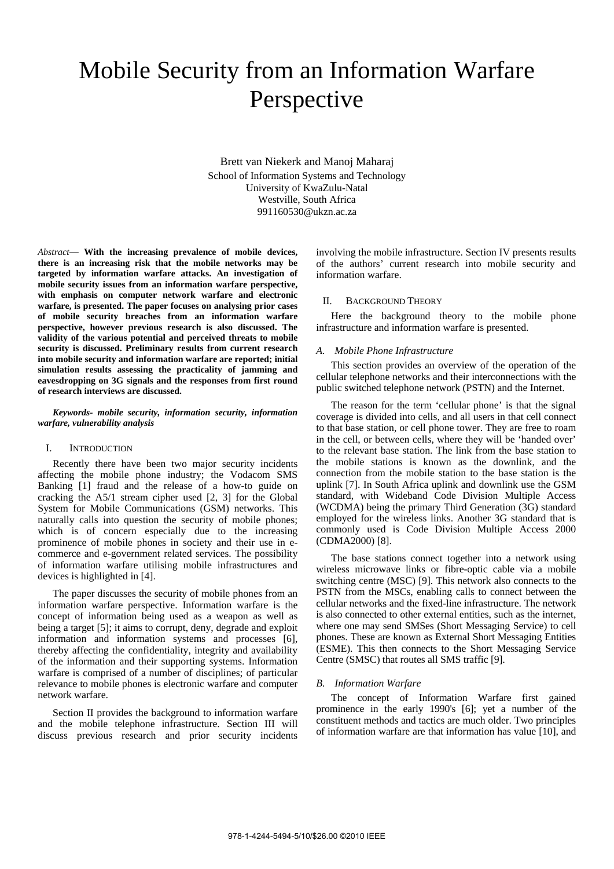# Mobile Security from an Information Warfare Perspective

Brett van Niekerk and Manoj Maharaj School of Information Systems and Technology University of KwaZulu-Natal Westville, South Africa 991160530@ukzn.ac.za

*Abstract***— With the increasing prevalence of mobile devices, there is an increasing risk that the mobile networks may be targeted by information warfare attacks. An investigation of mobile security issues from an information warfare perspective, with emphasis on computer network warfare and electronic warfare, is presented. The paper focuses on analysing prior cases of mobile security breaches from an information warfare perspective, however previous research is also discussed. The validity of the various potential and perceived threats to mobile security is discussed. Preliminary results from current research into mobile security and information warfare are reported; initial simulation results assessing the practicality of jamming and eavesdropping on 3G signals and the responses from first round of research interviews are discussed.** 

#### *Keywords- mobile security, information security, information warfare, vulnerability analysis*

#### I. INTRODUCTION

Recently there have been two major security incidents affecting the mobile phone industry; the Vodacom SMS Banking [1] fraud and the release of a how-to guide on cracking the A5/1 stream cipher used [2, 3] for the Global System for Mobile Communications (GSM) networks. This naturally calls into question the security of mobile phones; which is of concern especially due to the increasing prominence of mobile phones in society and their use in ecommerce and e-government related services. The possibility of information warfare utilising mobile infrastructures and devices is highlighted in [4].

The paper discusses the security of mobile phones from an information warfare perspective. Information warfare is the concept of information being used as a weapon as well as being a target [5]; it aims to corrupt, deny, degrade and exploit information and information systems and processes [6], thereby affecting the confidentiality, integrity and availability of the information and their supporting systems. Information warfare is comprised of a number of disciplines; of particular relevance to mobile phones is electronic warfare and computer network warfare.

Section II provides the background to information warfare and the mobile telephone infrastructure. Section III will discuss previous research and prior security incidents

involving the mobile infrastructure. Section IV presents results of the authors' current research into mobile security and information warfare.

#### II. BACKGROUND THEORY

Here the background theory to the mobile phone infrastructure and information warfare is presented.

#### *A. Mobile Phone Infrastructure*

This section provides an overview of the operation of the cellular telephone networks and their interconnections with the public switched telephone network (PSTN) and the Internet.

The reason for the term 'cellular phone' is that the signal coverage is divided into cells, and all users in that cell connect to that base station, or cell phone tower. They are free to roam in the cell, or between cells, where they will be 'handed over' to the relevant base station. The link from the base station to the mobile stations is known as the downlink, and the connection from the mobile station to the base station is the uplink [7]. In South Africa uplink and downlink use the GSM standard, with Wideband Code Division Multiple Access (WCDMA) being the primary Third Generation (3G) standard employed for the wireless links. Another 3G standard that is commonly used is Code Division Multiple Access 2000 (CDMA2000) [8].

The base stations connect together into a network using wireless microwave links or fibre-optic cable via a mobile switching centre (MSC) [9]. This network also connects to the PSTN from the MSCs, enabling calls to connect between the cellular networks and the fixed-line infrastructure. The network is also connected to other external entities, such as the internet, where one may send SMSes (Short Messaging Service) to cell phones. These are known as External Short Messaging Entities (ESME). This then connects to the Short Messaging Service Centre (SMSC) that routes all SMS traffic [9].

#### *B. Information Warfare*

The concept of Information Warfare first gained prominence in the early 1990's [6]; yet a number of the constituent methods and tactics are much older. Two principles of information warfare are that information has value [10], and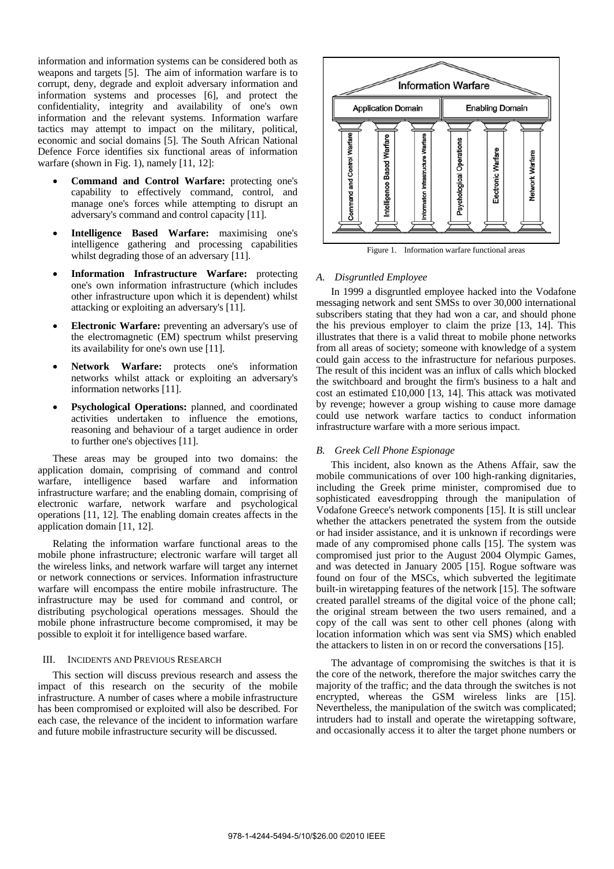information and information systems can be considered both as weapons and targets [5]. The aim of information warfare is to corrupt, deny, degrade and exploit adversary information and information systems and processes [6], and protect the confidentiality, integrity and availability of one's own information and the relevant systems. Information warfare tactics may attempt to impact on the military, political, economic and social domains [5]. The South African National Defence Force identifies six functional areas of information warfare (shown in Fig. 1), namely [11, 12]:

- **Command and Control Warfare:** protecting one's capability to effectively command, control, and manage one's forces while attempting to disrupt an adversary's command and control capacity [11].
- **Intelligence Based Warfare:** maximising one's intelligence gathering and processing capabilities whilst degrading those of an adversary [11].
- **Information Infrastructure Warfare:** protecting one's own information infrastructure (which includes other infrastructure upon which it is dependent) whilst attacking or exploiting an adversary's [11].
- **Electronic Warfare:** preventing an adversary's use of the electromagnetic (EM) spectrum whilst preserving its availability for one's own use [11].
- **Network Warfare:** protects one's information networks whilst attack or exploiting an adversary's information networks [11].
- **Psychological Operations:** planned, and coordinated activities undertaken to influence the emotions, reasoning and behaviour of a target audience in order to further one's objectives [11].

These areas may be grouped into two domains: the application domain, comprising of command and control warfare, intelligence based warfare and information infrastructure warfare; and the enabling domain, comprising of electronic warfare, network warfare and psychological operations [11, 12]. The enabling domain creates affects in the application domain [11, 12].

Relating the information warfare functional areas to the mobile phone infrastructure; electronic warfare will target all the wireless links, and network warfare will target any internet or network connections or services. Information infrastructure warfare will encompass the entire mobile infrastructure. The infrastructure may be used for command and control, or distributing psychological operations messages. Should the mobile phone infrastructure become compromised, it may be possible to exploit it for intelligence based warfare.

# III. INCIDENTS AND PREVIOUS RESEARCH

This section will discuss previous research and assess the impact of this research on the security of the mobile infrastructure. A number of cases where a mobile infrastructure has been compromised or exploited will also be described. For each case, the relevance of the incident to information warfare and future mobile infrastructure security will be discussed.



Figure 1. Information warfare functional areas

# *A. Disgruntled Employee*

In 1999 a disgruntled employee hacked into the Vodafone messaging network and sent SMSs to over 30,000 international subscribers stating that they had won a car, and should phone the his previous employer to claim the prize [13, 14]. This illustrates that there is a valid threat to mobile phone networks from all areas of society; someone with knowledge of a system could gain access to the infrastructure for nefarious purposes. The result of this incident was an influx of calls which blocked the switchboard and brought the firm's business to a halt and cost an estimated £10,000 [13, 14]. This attack was motivated by revenge; however a group wishing to cause more damage could use network warfare tactics to conduct information infrastructure warfare with a more serious impact.

# *B. Greek Cell Phone Espionage*

This incident, also known as the Athens Affair, saw the mobile communications of over 100 high-ranking dignitaries, including the Greek prime minister, compromised due to sophisticated eavesdropping through the manipulation of Vodafone Greece's network components [15]. It is still unclear whether the attackers penetrated the system from the outside or had insider assistance, and it is unknown if recordings were made of any compromised phone calls [15]. The system was compromised just prior to the August 2004 Olympic Games, and was detected in January 2005 [15]. Rogue software was found on four of the MSCs, which subverted the legitimate built-in wiretapping features of the network [15]. The software created parallel streams of the digital voice of the phone call; the original stream between the two users remained, and a copy of the call was sent to other cell phones (along with location information which was sent via SMS) which enabled the attackers to listen in on or record the conversations [15].

The advantage of compromising the switches is that it is the core of the network, therefore the major switches carry the majority of the traffic; and the data through the switches is not encrypted, whereas the GSM wireless links are [15]. Nevertheless, the manipulation of the switch was complicated; intruders had to install and operate the wiretapping software, and occasionally access it to alter the target phone numbers or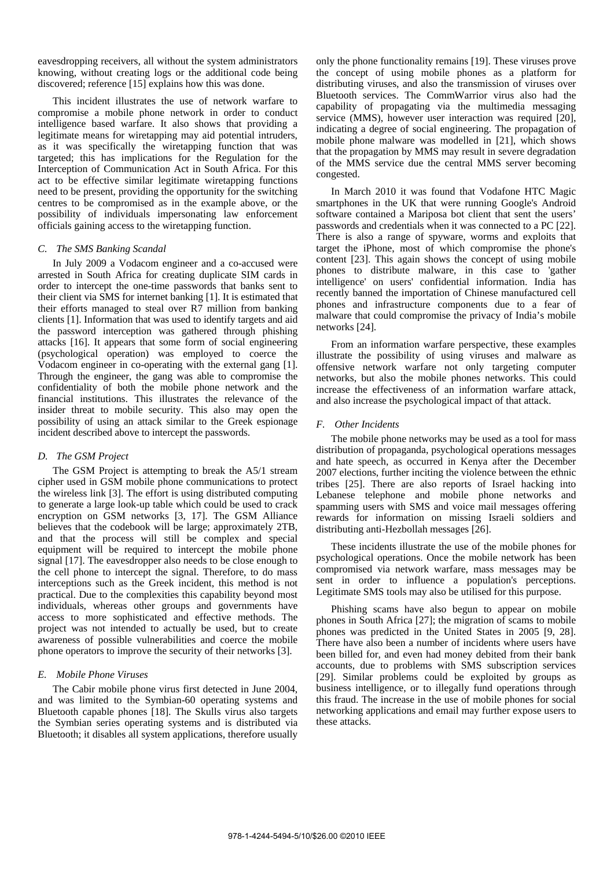eavesdropping receivers, all without the system administrators knowing, without creating logs or the additional code being discovered; reference [15] explains how this was done.

This incident illustrates the use of network warfare to compromise a mobile phone network in order to conduct intelligence based warfare. It also shows that providing a legitimate means for wiretapping may aid potential intruders, as it was specifically the wiretapping function that was targeted; this has implications for the Regulation for the Interception of Communication Act in South Africa. For this act to be effective similar legitimate wiretapping functions need to be present, providing the opportunity for the switching centres to be compromised as in the example above, or the possibility of individuals impersonating law enforcement officials gaining access to the wiretapping function.

# *C. The SMS Banking Scandal*

In July 2009 a Vodacom engineer and a co-accused were arrested in South Africa for creating duplicate SIM cards in order to intercept the one-time passwords that banks sent to their client via SMS for internet banking [1]. It is estimated that their efforts managed to steal over R7 million from banking clients [1]. Information that was used to identify targets and aid the password interception was gathered through phishing attacks [16]. It appears that some form of social engineering (psychological operation) was employed to coerce the Vodacom engineer in co-operating with the external gang [1]. Through the engineer, the gang was able to compromise the confidentiality of both the mobile phone network and the financial institutions. This illustrates the relevance of the insider threat to mobile security. This also may open the possibility of using an attack similar to the Greek espionage incident described above to intercept the passwords.

# *D. The GSM Project*

The GSM Project is attempting to break the A5/1 stream cipher used in GSM mobile phone communications to protect the wireless link [3]. The effort is using distributed computing to generate a large look-up table which could be used to crack encryption on GSM networks [3, 17]. The GSM Alliance believes that the codebook will be large; approximately 2TB, and that the process will still be complex and special equipment will be required to intercept the mobile phone signal [17]. The eavesdropper also needs to be close enough to the cell phone to intercept the signal. Therefore, to do mass interceptions such as the Greek incident, this method is not practical. Due to the complexities this capability beyond most individuals, whereas other groups and governments have access to more sophisticated and effective methods. The project was not intended to actually be used, but to create awareness of possible vulnerabilities and coerce the mobile phone operators to improve the security of their networks [3].

# *E. Mobile Phone Viruses*

The Cabir mobile phone virus first detected in June 2004, and was limited to the Symbian-60 operating systems and Bluetooth capable phones [18]. The Skulls virus also targets the Symbian series operating systems and is distributed via Bluetooth; it disables all system applications, therefore usually only the phone functionality remains [19]. These viruses prove the concept of using mobile phones as a platform for distributing viruses, and also the transmission of viruses over Bluetooth services. The CommWarrior virus also had the capability of propagating via the multimedia messaging service (MMS), however user interaction was required [20], indicating a degree of social engineering. The propagation of mobile phone malware was modelled in [21], which shows that the propagation by MMS may result in severe degradation of the MMS service due the central MMS server becoming congested.

In March 2010 it was found that Vodafone HTC Magic smartphones in the UK that were running Google's Android software contained a Mariposa bot client that sent the users' passwords and credentials when it was connected to a PC [22]. There is also a range of spyware, worms and exploits that target the iPhone, most of which compromise the phone's content [23]. This again shows the concept of using mobile phones to distribute malware, in this case to 'gather intelligence' on users' confidential information. India has recently banned the importation of Chinese manufactured cell phones and infrastructure components due to a fear of malware that could compromise the privacy of India's mobile networks [24].

From an information warfare perspective, these examples illustrate the possibility of using viruses and malware as offensive network warfare not only targeting computer networks, but also the mobile phones networks. This could increase the effectiveness of an information warfare attack, and also increase the psychological impact of that attack.

# *F. Other Incidents*

The mobile phone networks may be used as a tool for mass distribution of propaganda, psychological operations messages and hate speech, as occurred in Kenya after the December 2007 elections, further inciting the violence between the ethnic tribes [25]. There are also reports of Israel hacking into Lebanese telephone and mobile phone networks and spamming users with SMS and voice mail messages offering rewards for information on missing Israeli soldiers and distributing anti-Hezbollah messages [26].

These incidents illustrate the use of the mobile phones for psychological operations. Once the mobile network has been compromised via network warfare, mass messages may be sent in order to influence a population's perceptions. Legitimate SMS tools may also be utilised for this purpose.

Phishing scams have also begun to appear on mobile phones in South Africa [27]; the migration of scams to mobile phones was predicted in the United States in 2005 [9, 28]. There have also been a number of incidents where users have been billed for, and even had money debited from their bank accounts, due to problems with SMS subscription services [29]. Similar problems could be exploited by groups as business intelligence, or to illegally fund operations through this fraud. The increase in the use of mobile phones for social networking applications and email may further expose users to these attacks.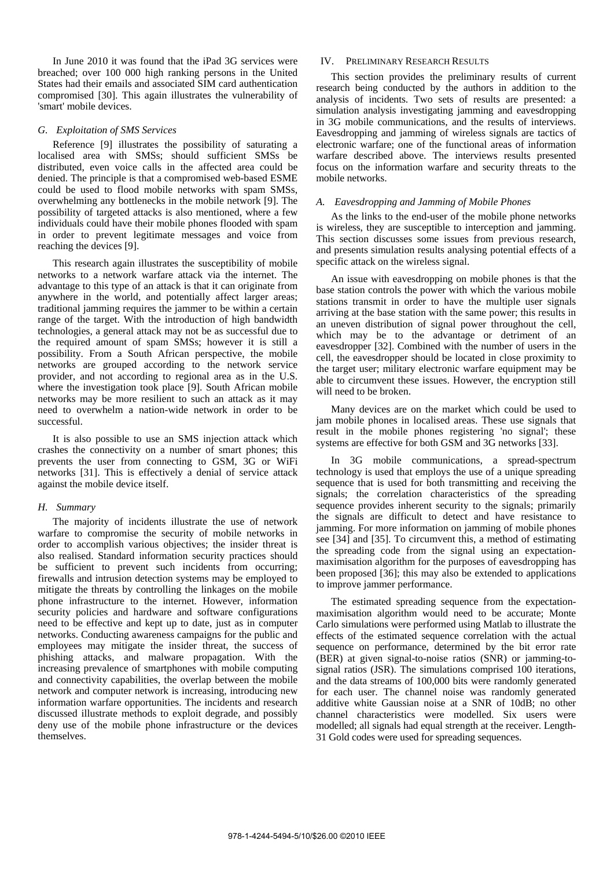In June 2010 it was found that the iPad 3G services were breached; over 100 000 high ranking persons in the United States had their emails and associated SIM card authentication compromised [30]. This again illustrates the vulnerability of 'smart' mobile devices.

### *G. Exploitation of SMS Services*

Reference [9] illustrates the possibility of saturating a localised area with SMSs; should sufficient SMSs be distributed, even voice calls in the affected area could be denied. The principle is that a compromised web-based ESME could be used to flood mobile networks with spam SMSs, overwhelming any bottlenecks in the mobile network [9]. The possibility of targeted attacks is also mentioned, where a few individuals could have their mobile phones flooded with spam in order to prevent legitimate messages and voice from reaching the devices [9].

This research again illustrates the susceptibility of mobile networks to a network warfare attack via the internet. The advantage to this type of an attack is that it can originate from anywhere in the world, and potentially affect larger areas; traditional jamming requires the jammer to be within a certain range of the target. With the introduction of high bandwidth technologies, a general attack may not be as successful due to the required amount of spam SMSs; however it is still a possibility. From a South African perspective, the mobile networks are grouped according to the network service provider, and not according to regional area as in the U.S. where the investigation took place [9]. South African mobile networks may be more resilient to such an attack as it may need to overwhelm a nation-wide network in order to be successful.

It is also possible to use an SMS injection attack which crashes the connectivity on a number of smart phones; this prevents the user from connecting to GSM, 3G or WiFi networks [31]. This is effectively a denial of service attack against the mobile device itself.

#### *H. Summary*

The majority of incidents illustrate the use of network warfare to compromise the security of mobile networks in order to accomplish various objectives; the insider threat is also realised. Standard information security practices should be sufficient to prevent such incidents from occurring; firewalls and intrusion detection systems may be employed to mitigate the threats by controlling the linkages on the mobile phone infrastructure to the internet. However, information security policies and hardware and software configurations need to be effective and kept up to date, just as in computer networks. Conducting awareness campaigns for the public and employees may mitigate the insider threat, the success of phishing attacks, and malware propagation. With the increasing prevalence of smartphones with mobile computing and connectivity capabilities, the overlap between the mobile network and computer network is increasing, introducing new information warfare opportunities. The incidents and research discussed illustrate methods to exploit degrade, and possibly deny use of the mobile phone infrastructure or the devices themselves.

# IV. PRELIMINARY RESEARCH RESULTS

This section provides the preliminary results of current research being conducted by the authors in addition to the analysis of incidents. Two sets of results are presented: a simulation analysis investigating jamming and eavesdropping in 3G mobile communications, and the results of interviews. Eavesdropping and jamming of wireless signals are tactics of electronic warfare; one of the functional areas of information warfare described above. The interviews results presented focus on the information warfare and security threats to the mobile networks.

# *A. Eavesdropping and Jamming of Mobile Phones*

As the links to the end-user of the mobile phone networks is wireless, they are susceptible to interception and jamming. This section discusses some issues from previous research, and presents simulation results analysing potential effects of a specific attack on the wireless signal.

An issue with eavesdropping on mobile phones is that the base station controls the power with which the various mobile stations transmit in order to have the multiple user signals arriving at the base station with the same power; this results in an uneven distribution of signal power throughout the cell, which may be to the advantage or detriment of an eavesdropper [32]. Combined with the number of users in the cell, the eavesdropper should be located in close proximity to the target user; military electronic warfare equipment may be able to circumvent these issues. However, the encryption still will need to be broken.

Many devices are on the market which could be used to jam mobile phones in localised areas. These use signals that result in the mobile phones registering 'no signal'; these systems are effective for both GSM and 3G networks [33].

In 3G mobile communications, a spread-spectrum technology is used that employs the use of a unique spreading sequence that is used for both transmitting and receiving the signals; the correlation characteristics of the spreading sequence provides inherent security to the signals; primarily the signals are difficult to detect and have resistance to jamming. For more information on jamming of mobile phones see [34] and [35]. To circumvent this, a method of estimating the spreading code from the signal using an expectationmaximisation algorithm for the purposes of eavesdropping has been proposed [36]; this may also be extended to applications to improve jammer performance.

The estimated spreading sequence from the expectationmaximisation algorithm would need to be accurate; Monte Carlo simulations were performed using Matlab to illustrate the effects of the estimated sequence correlation with the actual sequence on performance, determined by the bit error rate (BER) at given signal-to-noise ratios (SNR) or jamming-tosignal ratios (JSR). The simulations comprised 100 iterations, and the data streams of 100,000 bits were randomly generated for each user. The channel noise was randomly generated additive white Gaussian noise at a SNR of 10dB; no other channel characteristics were modelled. Six users were modelled; all signals had equal strength at the receiver. Length-31 Gold codes were used for spreading sequences.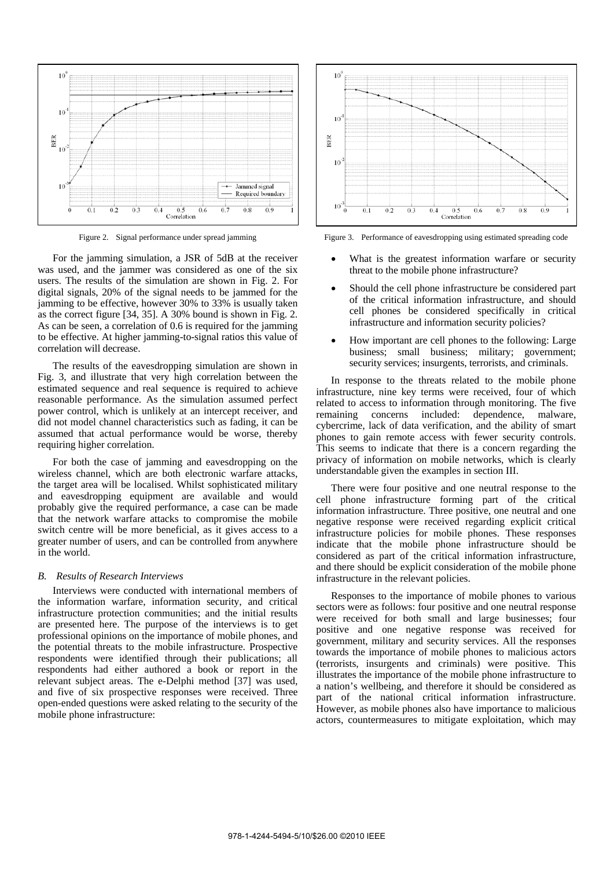

Figure 2. Signal performance under spread jamming

For the jamming simulation, a JSR of 5dB at the receiver was used, and the jammer was considered as one of the six users. The results of the simulation are shown in Fig. 2. For digital signals, 20% of the signal needs to be jammed for the jamming to be effective, however 30% to 33% is usually taken as the correct figure [34, 35]. A 30% bound is shown in Fig. 2. As can be seen, a correlation of 0.6 is required for the jamming to be effective. At higher jamming-to-signal ratios this value of correlation will decrease.

The results of the eavesdropping simulation are shown in Fig. 3, and illustrate that very high correlation between the estimated sequence and real sequence is required to achieve reasonable performance. As the simulation assumed perfect power control, which is unlikely at an intercept receiver, and did not model channel characteristics such as fading, it can be assumed that actual performance would be worse, thereby requiring higher correlation.

For both the case of jamming and eavesdropping on the wireless channel, which are both electronic warfare attacks, the target area will be localised. Whilst sophisticated military and eavesdropping equipment are available and would probably give the required performance, a case can be made that the network warfare attacks to compromise the mobile switch centre will be more beneficial, as it gives access to a greater number of users, and can be controlled from anywhere in the world.

#### *B. Results of Research Interviews*

Interviews were conducted with international members of the information warfare, information security, and critical infrastructure protection communities; and the initial results are presented here. The purpose of the interviews is to get professional opinions on the importance of mobile phones, and the potential threats to the mobile infrastructure. Prospective respondents were identified through their publications; all respondents had either authored a book or report in the relevant subject areas. The e-Delphi method [37] was used, and five of six prospective responses were received. Three open-ended questions were asked relating to the security of the mobile phone infrastructure:



Figure 3. Performance of eavesdropping using estimated spreading code

- What is the greatest information warfare or security threat to the mobile phone infrastructure?
- Should the cell phone infrastructure be considered part of the critical information infrastructure, and should cell phones be considered specifically in critical infrastructure and information security policies?
- How important are cell phones to the following: Large business; small business; military; government; security services; insurgents, terrorists, and criminals.

In response to the threats related to the mobile phone infrastructure, nine key terms were received, four of which related to access to information through monitoring. The five remaining concerns included: dependence, malware, cybercrime, lack of data verification, and the ability of smart phones to gain remote access with fewer security controls. This seems to indicate that there is a concern regarding the privacy of information on mobile networks, which is clearly understandable given the examples in section III.

There were four positive and one neutral response to the cell phone infrastructure forming part of the critical information infrastructure. Three positive, one neutral and one negative response were received regarding explicit critical infrastructure policies for mobile phones. These responses indicate that the mobile phone infrastructure should be considered as part of the critical information infrastructure, and there should be explicit consideration of the mobile phone infrastructure in the relevant policies.

Responses to the importance of mobile phones to various sectors were as follows: four positive and one neutral response were received for both small and large businesses; four positive and one negative response was received for government, military and security services. All the responses towards the importance of mobile phones to malicious actors (terrorists, insurgents and criminals) were positive. This illustrates the importance of the mobile phone infrastructure to a nation's wellbeing, and therefore it should be considered as part of the national critical information infrastructure. However, as mobile phones also have importance to malicious actors, countermeasures to mitigate exploitation, which may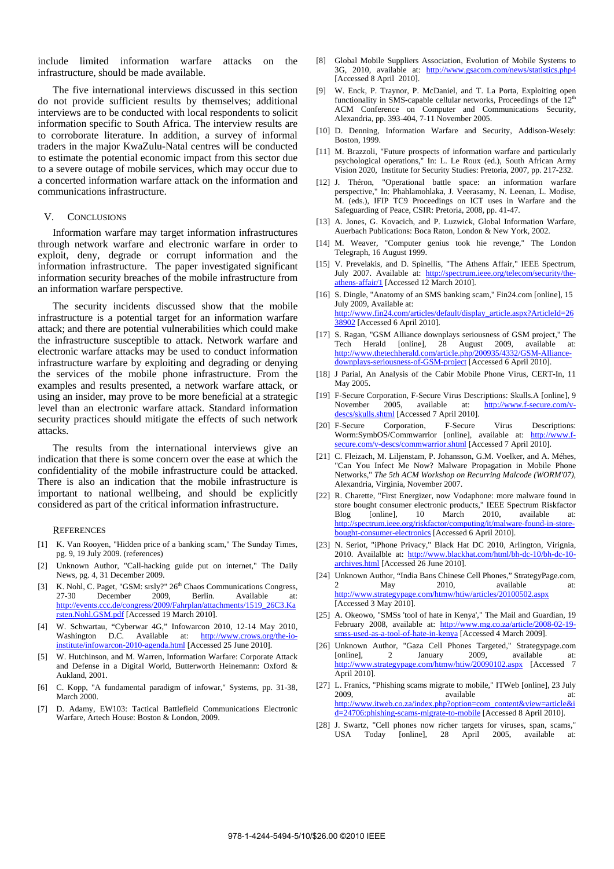include limited information warfare attacks on the infrastructure, should be made available.

The five international interviews discussed in this section do not provide sufficient results by themselves; additional interviews are to be conducted with local respondents to solicit information specific to South Africa. The interview results are to corroborate literature. In addition, a survey of informal traders in the major KwaZulu-Natal centres will be conducted to estimate the potential economic impact from this sector due to a severe outage of mobile services, which may occur due to a concerted information warfare attack on the information and communications infrastructure.

### V. CONCLUSIONS

Information warfare may target information infrastructures through network warfare and electronic warfare in order to exploit, deny, degrade or corrupt information and the information infrastructure. The paper investigated significant information security breaches of the mobile infrastructure from an information warfare perspective.

The security incidents discussed show that the mobile infrastructure is a potential target for an information warfare attack; and there are potential vulnerabilities which could make the infrastructure susceptible to attack. Network warfare and electronic warfare attacks may be used to conduct information infrastructure warfare by exploiting and degrading or denying the services of the mobile phone infrastructure. From the examples and results presented, a network warfare attack, or using an insider, may prove to be more beneficial at a strategic level than an electronic warfare attack. Standard information security practices should mitigate the effects of such network attacks.

The results from the international interviews give an indication that there is some concern over the ease at which the confidentiality of the mobile infrastructure could be attacked. There is also an indication that the mobile infrastructure is important to national wellbeing, and should be explicitly considered as part of the critical information infrastructure.

#### **REFERENCES**

- [1] K. Van Rooyen, "Hidden price of a banking scam," The Sunday Times, pg. 9, 19 July 2009. (references)
- [2] Unknown Author, "Call-hacking guide put on internet," The Daily News, pg. 4, 31 December 2009.
- [3] K. Nohl, C. Paget, "GSM: srsly?"  $26<sup>th</sup>$  Chaos Communications Congress,<br>27-30 December 2009. Berlin. Available at: 27-30 December 2009, Berlin. Available at: http://events.ccc.de/congress/2009/Fahrplan/attachments/1519\_26C3.Ka rsten.Nohl.GSM.pdf [Accessed 19 March 2010].
- [4] W. Schwartau, "Cyberwar 4G," Infowarcon 2010, 12-14 May 2010, Washington D.C. Available at: http://www.crows.org/the-ioinstitute/infowarcon-2010-agenda.html [Accessed 25 June 2010].
- [5] W. Hutchinson, and M. Warren, Information Warfare: Corporate Attack and Defense in a Digital World, Butterworth Heinemann: Oxford & Aukland, 2001.
- [6] C. Kopp, "A fundamental paradigm of infowar," Systems, pp. 31-38, March 2000.
- [7] D. Adamy, EW103: Tactical Battlefield Communications Electronic Warfare, Artech House: Boston & London, 2009.
- [8] Global Mobile Suppliers Association, Evolution of Mobile Systems to 3G, 2010, available at: http://www.gsacom.com/news/statistics.php4 [Accessed 8 April 2010].
- [9] W. Enck, P. Traynor, P. McDaniel, and T. La Porta, Exploiting open functionality in SMS-capable cellular networks, Proceedings of the  $12<sup>th</sup>$ ACM Conference on Computer and Communications Security, Alexandria, pp. 393-404, 7-11 November 2005.
- [10] D. Denning, Information Warfare and Security, Addison-Wesely: Boston, 1999.
- [11] M. Brazzoli, "Future prospects of information warfare and particularly psychological operations," In: L. Le Roux (ed.), South African Army Vision 2020, Institute for Security Studies: Pretoria, 2007, pp. 217-232.
- [12] J. Théron, "Operational battle space: an information warfare perspective," In: Phahlamohlaka, J. Veerasamy, N. Leenan, L. Modise, M. (eds.), IFIP TC9 Proceedings on ICT uses in Warfare and the Safeguarding of Peace, CSIR: Pretoria, 2008, pp. 41-47.
- [13] A. Jones, G. Kovacich, and P. Luzwick, Global Information Warfare, Auerbach Publications: Boca Raton, London & New York, 2002.
- [14] M. Weaver, "Computer genius took hie revenge," The London Telegraph, 16 August 1999.
- [15] V. Prevelakis, and D. Spinellis, "The Athens Affair," IEEE Spectrum, July 2007. Available at: http://spectrum.ieee.org/telecom/security/theathens-affair/1 [Accessed 12 March 2010].
- [16] S. Dingle, "Anatomy of an SMS banking scam," Fin24.com [online], 15 July 2009, Available at: http://www.fin24.com/articles/default/display\_article.aspx?ArticleId=26 38902 [Accessed 6 April 2010].
- [17] S. Ragan, "GSM Alliance downplays seriousness of GSM project," The Tech Herald [online], 28 August 2009, available at: http://www.thetechherald.com/article.php/200935/4332/GSM-Alliancedownplays-seriousness-of-GSM-project [Accessed 6 April 2010].
- [18] J Parial, An Analysis of the Cabir Mobile Phone Virus, CERT-In, 11 May 2005.
- [19] F-Secure Corporation, F-Secure Virus Descriptions: Skulls.A [online], 9 November 2005, available at: http://www.f-secure.com/vdescs/skulls.shtml [Accessed 7 April 2010].
- [20] F-Secure Corporation, F-Secure Virus Descriptions: Worm:SymbOS/Commwarrior [online], available at: http://www.fsecure.com/v-descs/commwarrior.shtml [Accessed 7 April 2010].
- [21] C. Fleizach, M. Liljenstam, P. Johansson, G.M. Voelker, and A. Méhes, "Can You Infect Me Now? Malware Propagation in Mobile Phone Networks," *The 5th ACM Workshop on Recurring Malcode (WORM'07)*, Alexandria, Virginia, November 2007.
- [22] R. Charette, "First Energizer, now Vodaphone: more malware found in store bought consumer electronic products," IEEE Spectrum Riskfactor Blog [online], 10 March 2010, available at: http://spectrum.ieee.org/riskfactor/computing/it/malware-found-in-storebought-consumer-electronics [Accessed 6 April 2010].
- [23] N. Seriot, "iPhone Privacy," Black Hat DC 2010, Arlington, Virignia, 2010. Availalble at: http://www.blackhat.com/html/bh-dc-10/bh-dc-10 archives.html [Accessed 26 June 2010].
- [24] Unknown Author, "India Bans Chinese Cell Phones," StrategyPage.com, 2 May 2010, available at: http://www.strategypage.com/htmw/htiw/articles/20100502.aspx [Accessed 3 May 2010].
- [25] A. Okeowo, "SMSs 'tool of hate in Kenya'," The Mail and Guardian, 19 February 2008, available at: http://www.mg.co.za/article/2008-02-19 smss-used-as-a-tool-of-hate-in-kenya [Accessed 4 March 2009].
- [26] Unknown Author, "Gaza Cell Phones Targeted," Strategypage.com [online], 2 January 2009, available at: http://www.strategypage.com/htmw/htiw/20090102.aspx [Accessed 7 April 2010].
- [27] L. Franics, "Phishing scams migrate to mobile," ITWeb [online], 23 July 2009, available at: http://www.itweb.co.za/index.php?option=com\_content&view=article&i d=24706:phishing-scams-migrate-to-mobile [Accessed 8 April 2010].
- [28] J. Swartz, "Cell phones now richer targets for viruses, span, scams," USA Today [online], 28 April 2005, available at: